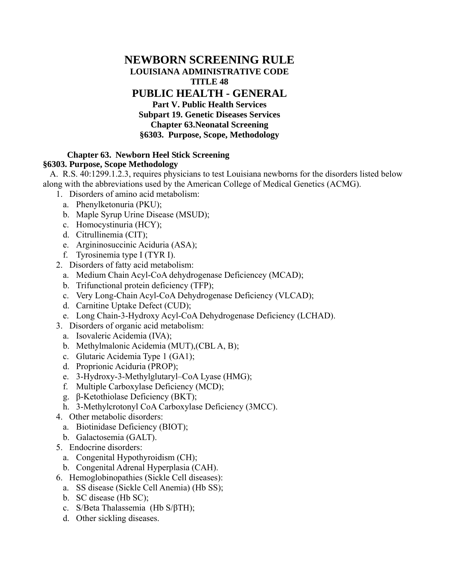# **NEWBORN SCREENING RULE LOUISIANA ADMINISTRATIVE CODE TITLE 48 PUBLIC HEALTH - GENERAL Part V. Public Health Services Subpart 19. Genetic Diseases Services Chapter 63.Neonatal Screening §6303. Purpose, Scope, Methodology**

#### **Chapter 63. Newborn Heel Stick Screening §6303. Purpose, Scope Methodology**

A. R.S. 40:1299.1.2.3, requires physicians to test Louisiana newborns for the disorders listed below along with the abbreviations used by the American College of Medical Genetics (ACMG).

- 1. Disorders of amino acid metabolism:
	- a. Phenylketonuria (PKU);
	- b. Maple Syrup Urine Disease (MSUD);
	- c. Homocystinuria (HCY);
	- d. Citrullinemia (CIT);
	- e. Argininosuccinic Aciduria (ASA);
	- f. Tyrosinemia type I (TYR I).
- 2. Disorders of fatty acid metabolism:
	- a. Medium Chain Acyl-CoA dehydrogenase Deficiencey (MCAD);
	- b. Trifunctional protein deficiency (TFP);
	- c. Very Long-Chain Acyl-CoA Dehydrogenase Deficiency (VLCAD);
	- d. Carnitine Uptake Defect (CUD);
	- e. Long Chain-3-Hydroxy Acyl-CoA Dehydrogenase Deficiency (LCHAD).
- 3. Disorders of organic acid metabolism:
	- a. Isovaleric Acidemia (IVA);
	- b. Methylmalonic Acidemia (MUT),(CBL A, B);
	- c. Glutaric Acidemia Type 1 (GA1);
	- d. Proprionic Aciduria (PROP);
	- e. 3-Hydroxy-3-Methylglutaryl–CoA Lyase (HMG);
	- f. Multiple Carboxylase Deficiency (MCD);
	- g. β-Ketothiolase Deficiency (BKT);
	- h. 3-Methylcrotonyl CoA Carboxylase Deficiency (3MCC).
- 4. Other metabolic disorders:
	- a. Biotinidase Deficiency (BIOT);
	- b. Galactosemia (GALT).
- 5. Endocrine disorders:
	- a. Congenital Hypothyroidism (CH);
	- b. Congenital Adrenal Hyperplasia (CAH).
- 6. Hemoglobinopathies (Sickle Cell diseases):
	- a. SS disease (Sickle Cell Anemia) (Hb SS);
	- b. SC disease (Hb SC);
	- c. S/Beta Thalassemia (Hb S/βTH);
	- d. Other sickling diseases.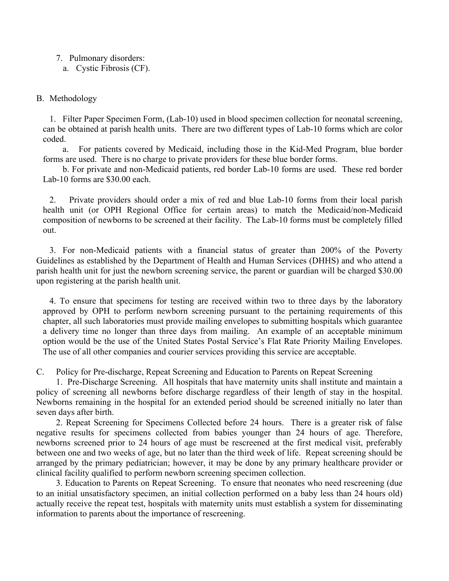## 7. Pulmonary disorders:

a. Cystic Fibrosis (CF).

## B. Methodology

 1. Filter Paper Specimen Form, (Lab-10) used in blood specimen collection for neonatal screening, can be obtained at parish health units. There are two different types of Lab-10 forms which are color coded.

 a. For patients covered by Medicaid, including those in the Kid-Med Program, blue border forms are used. There is no charge to private providers for these blue border forms.

 b. For private and non-Medicaid patients, red border Lab-10 forms are used. These red border Lab-10 forms are \$30.00 each.

 2. Private providers should order a mix of red and blue Lab-10 forms from their local parish health unit (or OPH Regional Office for certain areas) to match the Medicaid/non-Medicaid composition of newborns to be screened at their facility. The Lab-10 forms must be completely filled out.

 3. For non-Medicaid patients with a financial status of greater than 200% of the Poverty Guidelines as established by the Department of Health and Human Services (DHHS) and who attend a parish health unit for just the newborn screening service, the parent or guardian will be charged \$30.00 upon registering at the parish health unit.

 4. To ensure that specimens for testing are received within two to three days by the laboratory approved by OPH to perform newborn screening pursuant to the pertaining requirements of this chapter, all such laboratories must provide mailing envelopes to submitting hospitals which guarantee a delivery time no longer than three days from mailing. An example of an acceptable minimum option would be the use of the United States Postal Service's Flat Rate Priority Mailing Envelopes. The use of all other companies and courier services providing this service are acceptable.

C. Policy for Pre-discharge, Repeat Screening and Education to Parents on Repeat Screening

 1. Pre-Discharge Screening. All hospitals that have maternity units shall institute and maintain a policy of screening all newborns before discharge regardless of their length of stay in the hospital. Newborns remaining in the hospital for an extended period should be screened initially no later than seven days after birth.

 2. Repeat Screening for Specimens Collected before 24 hours. There is a greater risk of false negative results for specimens collected from babies younger than 24 hours of age. Therefore, newborns screened prior to 24 hours of age must be rescreened at the first medical visit, preferably between one and two weeks of age, but no later than the third week of life. Repeat screening should be arranged by the primary pediatrician; however, it may be done by any primary healthcare provider or clinical facility qualified to perform newborn screening specimen collection.

 3. Education to Parents on Repeat Screening. To ensure that neonates who need rescreening (due to an initial unsatisfactory specimen, an initial collection performed on a baby less than 24 hours old) actually receive the repeat test, hospitals with maternity units must establish a system for disseminating information to parents about the importance of rescreening.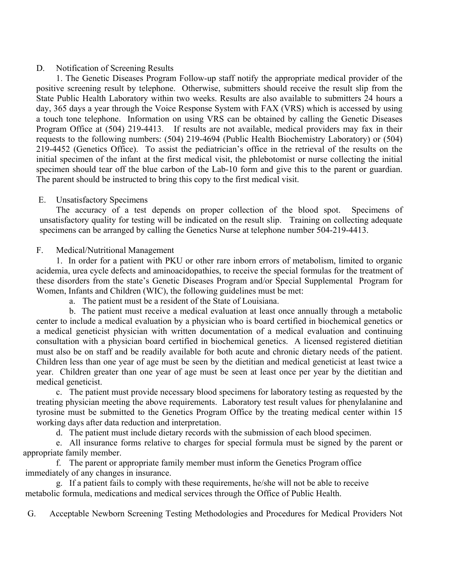### D. Notification of Screening Results

 1. The Genetic Diseases Program Follow-up staff notify the appropriate medical provider of the positive screening result by telephone. Otherwise, submitters should receive the result slip from the State Public Health Laboratory within two weeks. Results are also available to submitters 24 hours a day, 365 days a year through the Voice Response System with FAX (VRS) which is accessed by using a touch tone telephone. Information on using VRS can be obtained by calling the Genetic Diseases Program Office at (504) 219-4413. If results are not available, medical providers may fax in their requests to the following numbers: (504) 219-4694 (Public Health Biochemistry Laboratory) or (504) 219-4452 (Genetics Office). To assist the pediatrician's office in the retrieval of the results on the initial specimen of the infant at the first medical visit, the phlebotomist or nurse collecting the initial specimen should tear off the blue carbon of the Lab-10 form and give this to the parent or guardian. The parent should be instructed to bring this copy to the first medical visit.

## E. Unsatisfactory Specimens

 The accuracy of a test depends on proper collection of the blood spot. Specimens of unsatisfactory quality for testing will be indicated on the result slip. Training on collecting adequate specimens can be arranged by calling the Genetics Nurse at telephone number 504-219-4413.

## F. Medical/Nutritional Management

 1. In order for a patient with PKU or other rare inborn errors of metabolism, limited to organic acidemia, urea cycle defects and aminoacidopathies, to receive the special formulas for the treatment of these disorders from the state's Genetic Diseases Program and/or Special Supplemental Program for Women, Infants and Children (WIC), the following guidelines must be met:

a. The patient must be a resident of the State of Louisiana.

 b. The patient must receive a medical evaluation at least once annually through a metabolic center to include a medical evaluation by a physician who is board certified in biochemical genetics or a medical geneticist physician with written documentation of a medical evaluation and continuing consultation with a physician board certified in biochemical genetics. A licensed registered dietitian must also be on staff and be readily available for both acute and chronic dietary needs of the patient. Children less than one year of age must be seen by the dietitian and medical geneticist at least twice a year. Children greater than one year of age must be seen at least once per year by the dietitian and medical geneticist.

 c. The patient must provide necessary blood specimens for laboratory testing as requested by the treating physician meeting the above requirements. Laboratory test result values for phenylalanine and tyrosine must be submitted to the Genetics Program Office by the treating medical center within 15 working days after data reduction and interpretation.

d. The patient must include dietary records with the submission of each blood specimen.

 e. All insurance forms relative to charges for special formula must be signed by the parent or appropriate family member.

 f. The parent or appropriate family member must inform the Genetics Program office immediately of any changes in insurance.

 g. If a patient fails to comply with these requirements, he/she will not be able to receive metabolic formula, medications and medical services through the Office of Public Health.

G. Acceptable Newborn Screening Testing Methodologies and Procedures for Medical Providers Not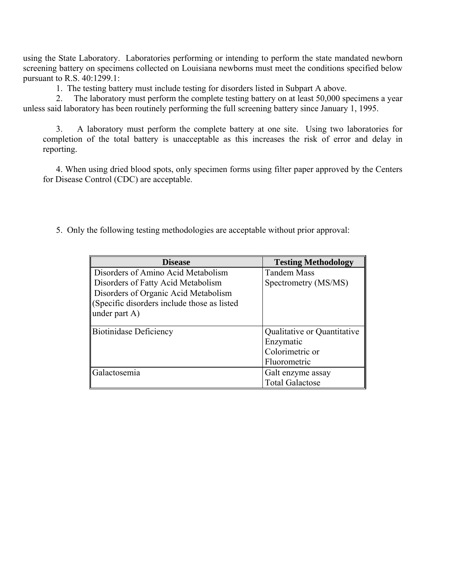using the State Laboratory. Laboratories performing or intending to perform the state mandated newborn screening battery on specimens collected on Louisiana newborns must meet the conditions specified below pursuant to R.S. 40:1299.1:

1. The testing battery must include testing for disorders listed in Subpart A above.

 2. The laboratory must perform the complete testing battery on at least 50,000 specimens a year unless said laboratory has been routinely performing the full screening battery since January 1, 1995.

 3. A laboratory must perform the complete battery at one site. Using two laboratories for completion of the total battery is unacceptable as this increases the risk of error and delay in reporting.

 4. When using dried blood spots, only specimen forms using filter paper approved by the Centers for Disease Control (CDC) are acceptable.

5. Only the following testing methodologies are acceptable without prior approval:

| <b>Disease</b>                             | <b>Testing Methodology</b>  |
|--------------------------------------------|-----------------------------|
| Disorders of Amino Acid Metabolism         | <b>Tandem Mass</b>          |
| Disorders of Fatty Acid Metabolism         | Spectrometry (MS/MS)        |
| Disorders of Organic Acid Metabolism       |                             |
| Specific disorders include those as listed |                             |
| under part A)                              |                             |
|                                            |                             |
| <b>Biotinidase Deficiency</b>              | Qualitative or Quantitative |
|                                            | Enzymatic                   |
|                                            | Colorimetric or             |
|                                            | Fluorometric                |
| Galactosemia                               | Galt enzyme assay           |
|                                            | <b>Total Galactose</b>      |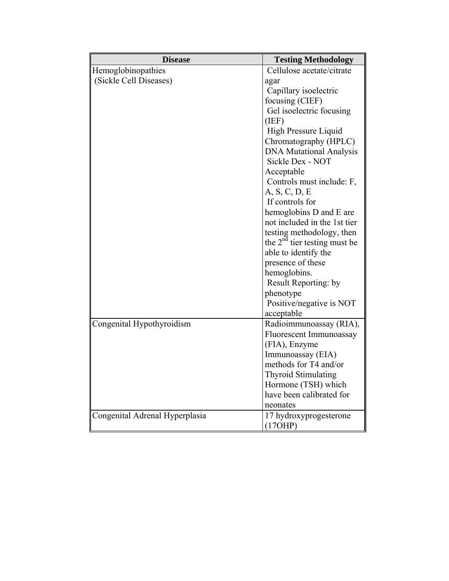| <b>Disease</b>                 | <b>Testing Methodology</b>     |
|--------------------------------|--------------------------------|
| Hemoglobinopathies             | Cellulose acetate/citrate      |
| (Sickle Cell Diseases)         | agar                           |
|                                | Capillary isoelectric          |
|                                | focusing (CIEF)                |
|                                | Gel isoelectric focusing       |
|                                | (IEF)                          |
|                                | High Pressure Liquid           |
|                                | Chromatography (HPLC)          |
|                                | <b>DNA Mutational Analysis</b> |
|                                | Sickle Dex - NOT               |
|                                | Acceptable                     |
|                                | Controls must include: F,      |
|                                | A, S, C, D, E                  |
|                                | If controls for                |
|                                | hemoglobins D and E are        |
|                                | not included in the 1st tier   |
|                                | testing methodology, then      |
|                                | the $2nd$ tier testing must be |
|                                | able to identify the           |
|                                | presence of these              |
|                                | hemoglobins.                   |
|                                | Result Reporting: by           |
|                                | phenotype                      |
|                                | Positive/negative is NOT       |
|                                | acceptable                     |
| Congenital Hypothyroidism      | Radioimmunoassay (RIA),        |
|                                | Fluorescent Immunoassay        |
|                                | (FIA), Enzyme                  |
|                                | Immunoassay (EIA)              |
|                                | methods for T4 and/or          |
|                                | <b>Thyroid Stimulating</b>     |
|                                | Hormone (TSH) which            |
|                                | have been calibrated for       |
|                                | neonates                       |
| Congenital Adrenal Hyperplasia | 17 hydroxyprogesterone         |
|                                | (17OHP)                        |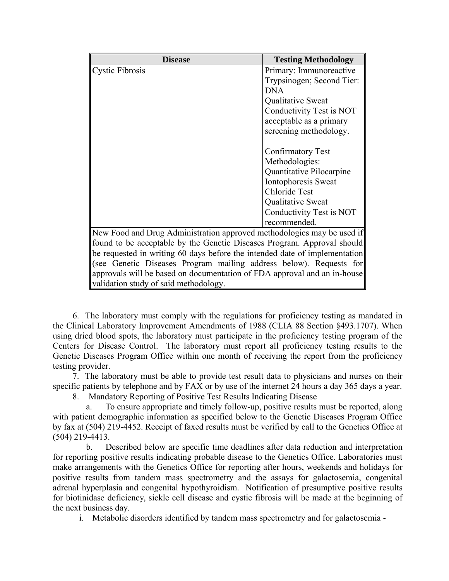| <b>Disease</b>                                                             | <b>Testing Methodology</b> |
|----------------------------------------------------------------------------|----------------------------|
| <b>Cystic Fibrosis</b>                                                     | Primary: Immunoreactive    |
|                                                                            | Trypsinogen; Second Tier:  |
|                                                                            | <b>DNA</b>                 |
|                                                                            | Qualitative Sweat          |
|                                                                            | Conductivity Test is NOT   |
|                                                                            | acceptable as a primary    |
|                                                                            | screening methodology.     |
|                                                                            |                            |
|                                                                            | <b>Confirmatory Test</b>   |
|                                                                            | Methodologies:             |
|                                                                            | Quantitative Pilocarpine   |
|                                                                            | Iontophoresis Sweat        |
|                                                                            | <b>Chloride Test</b>       |
|                                                                            | Qualitative Sweat          |
|                                                                            | Conductivity Test is NOT   |
|                                                                            | recommended.               |
| New Food and Drug Administration approved methodologies may be used if     |                            |
| found to be acceptable by the Genetic Diseases Program. Approval should    |                            |
| be requested in writing 60 days before the intended date of implementation |                            |
| (see Genetic Diseases Program mailing address below). Requests for         |                            |
| approvals will be based on documentation of FDA approval and an in-house   |                            |
| validation study of said methodology.                                      |                            |

 6. The laboratory must comply with the regulations for proficiency testing as mandated in the Clinical Laboratory Improvement Amendments of 1988 (CLIA 88 Section §493.1707). When using dried blood spots, the laboratory must participate in the proficiency testing program of the Centers for Disease Control. The laboratory must report all proficiency testing results to the Genetic Diseases Program Office within one month of receiving the report from the proficiency testing provider.

 7. The laboratory must be able to provide test result data to physicians and nurses on their specific patients by telephone and by FAX or by use of the internet 24 hours a day 365 days a year.

8. Mandatory Reporting of Positive Test Results Indicating Disease

 a. To ensure appropriate and timely follow-up, positive results must be reported, along with patient demographic information as specified below to the Genetic Diseases Program Office by fax at (504) 219-4452. Receipt of faxed results must be verified by call to the Genetics Office at (504) 219-4413.

 b. Described below are specific time deadlines after data reduction and interpretation for reporting positive results indicating probable disease to the Genetics Office. Laboratories must make arrangements with the Genetics Office for reporting after hours, weekends and holidays for positive results from tandem mass spectrometry and the assays for galactosemia, congenital adrenal hyperplasia and congenital hypothyroidism. Notification of presumptive positive results for biotinidase deficiency, sickle cell disease and cystic fibrosis will be made at the beginning of the next business day.

i. Metabolic disorders identified by tandem mass spectrometry and for galactosemia -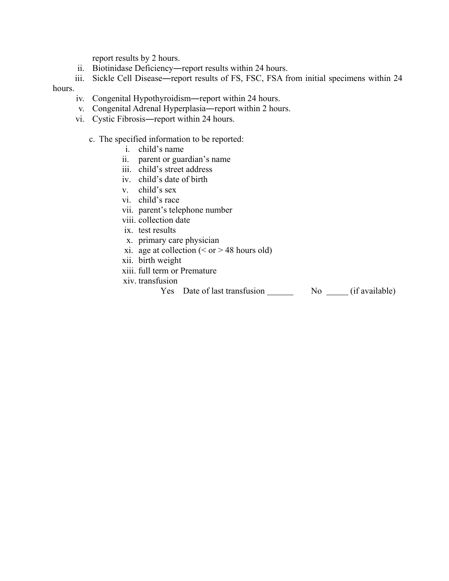report results by 2 hours.

ii. Biotinidase Deficiency―report results within 24 hours.

iii. Sickle Cell Disease―report results of FS, FSC, FSA from initial specimens within 24

## hours.

- iv. Congenital Hypothyroidism―report within 24 hours.
- v. Congenital Adrenal Hyperplasia―report within 2 hours.
- vi. Cystic Fibrosis―report within 24 hours.
	- c. The specified information to be reported:
		- i. child's name
		- ii. parent or guardian's name
		- iii. child's street address
		- iv. child's date of birth
		- v. child's sex
		- vi. child's race
		- vii. parent's telephone number
		- viii. collection date
		- ix. test results
		- x. primary care physician
		- xi. age at collection  $( $or$  > 48 hours old)$
		- xii. birth weight
		- xiii. full term or Premature
		- xiv. transfusion
			- Yes Date of last transfusion No (if available)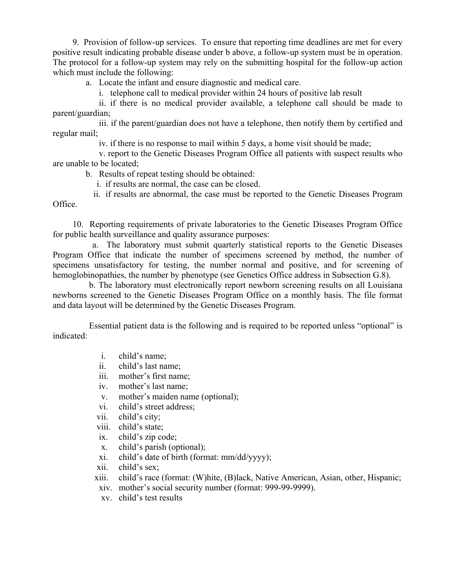9. Provision of follow-up services. To ensure that reporting time deadlines are met for every positive result indicating probable disease under b above, a follow-up system must be in operation. The protocol for a follow-up system may rely on the submitting hospital for the follow-up action which must include the following:

a. Locate the infant and ensure diagnostic and medical care.

i. telephone call to medical provider within 24 hours of positive lab result

 ii. if there is no medical provider available, a telephone call should be made to parent/guardian;

 iii. if the parent/guardian does not have a telephone, then notify them by certified and regular mail;

iv. if there is no response to mail within 5 days, a home visit should be made;

 v. report to the Genetic Diseases Program Office all patients with suspect results who are unable to be located;

b. Results of repeat testing should be obtained:

i. if results are normal, the case can be closed.

 ii. if results are abnormal, the case must be reported to the Genetic Diseases Program Office.

 10. Reporting requirements of private laboratories to the Genetic Diseases Program Office for public health surveillance and quality assurance purposes:

 a. The laboratory must submit quarterly statistical reports to the Genetic Diseases Program Office that indicate the number of specimens screened by method, the number of specimens unsatisfactory for testing, the number normal and positive, and for screening of hemoglobinopathies, the number by phenotype (see Genetics Office address in Subsection G.8).

 b. The laboratory must electronically report newborn screening results on all Louisiana newborns screened to the Genetic Diseases Program Office on a monthly basis. The file format and data layout will be determined by the Genetic Diseases Program.

 Essential patient data is the following and is required to be reported unless "optional" is indicated:

- i. child's name;
- ii. child's last name;
- iii. mother's first name;
- iv. mother's last name;
- v. mother's maiden name (optional);
- vi. child's street address;
- vii. child's city;
- viii. child's state;
- ix. child's zip code;
- x. child's parish (optional);
- xi. child's date of birth (format: mm/dd/yyyy);
- xii. child's sex;
- xiii. child's race (format: (W)hite, (B)lack, Native American, Asian, other, Hispanic;
- xiv. mother's social security number (format: 999-99-9999).
- xv. child's test results